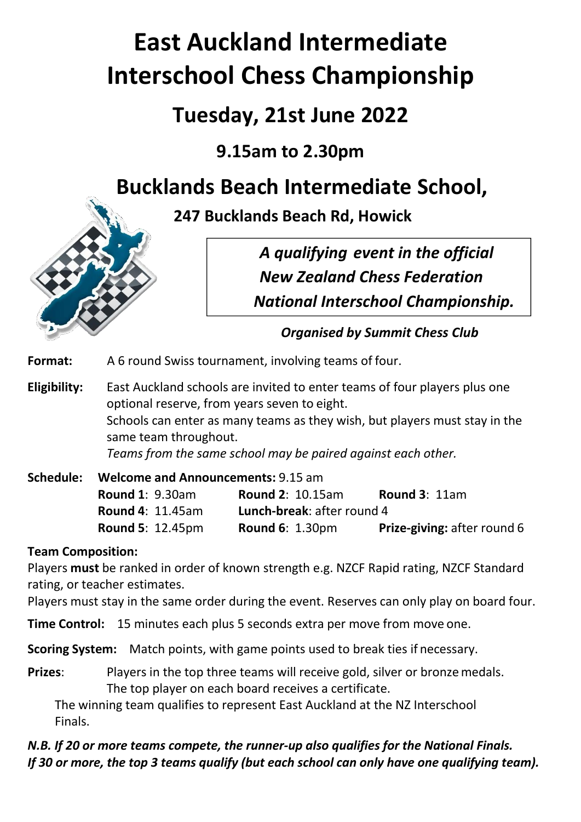# **East Auckland Intermediate Interschool Chess Championship**

# **Tuesday, 21st June 2022**

# **9.15am to 2.30pm**

# **Bucklands Beach Intermediate School,**





*Organised by Summit Chess Club*

**Format:** A 6 round Swiss tournament, involving teams of four.

**Eligibility:** East Auckland schools are invited to enter teams of four players plus one optional reserve, from years seven to eight. Schools can enter as many teams as they wish, but players must stay in the same team throughout. *Teams from the same school may be paired against each other.*

| Schedule: | <b>Welcome and Announcements: 9.15 am</b> |                                   |                                    |  |  |
|-----------|-------------------------------------------|-----------------------------------|------------------------------------|--|--|
|           | <b>Round 1: 9.30am</b>                    | <b>Round 2: 10.15am</b>           | Round $3:11am$                     |  |  |
|           | <b>Round 4: 11.45am</b>                   | <b>Lunch-break: after round 4</b> |                                    |  |  |
|           | <b>Round 5: 12.45pm</b>                   | <b>Round 6: 1.30pm</b>            | <b>Prize-giving: after round 6</b> |  |  |

## **Team Composition:**

Players **must** be ranked in order of known strength e.g. NZCF Rapid rating, NZCF Standard rating, or teacher estimates.

Players must stay in the same order during the event. Reserves can only play on board four.

**Time Control:** 15 minutes each plus 5 seconds extra per move from move one.

**Scoring System:** Match points, with game points used to break ties if necessary.

**Prizes:** Players in the top three teams will receive gold, silver or bronze medals. The top player on each board receives a certificate.

The winning team qualifies to represent East Auckland at the NZ Interschool Finals.

*N.B. If 20 or more teams compete, the runner-up also qualifies for the National Finals. If 30 or more, the top 3 teams qualify (but each school can only have one qualifying team).*